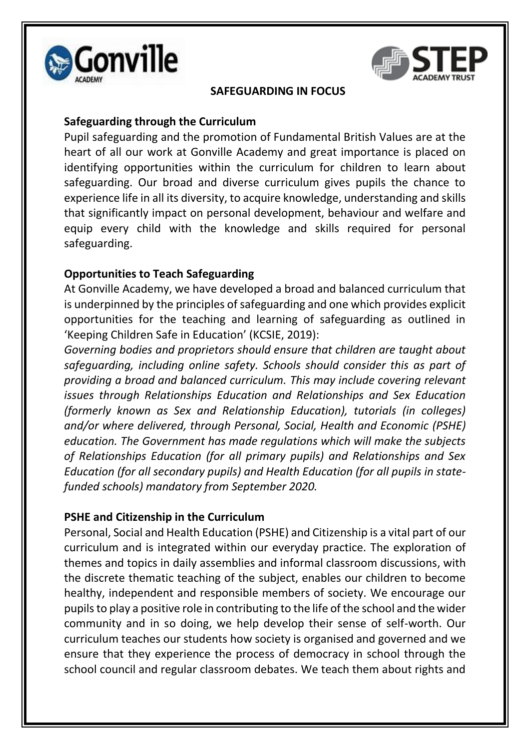



#### **SAFEGUARDING IN FOCUS**

## **Safeguarding through the Curriculum**

Pupil safeguarding and the promotion of Fundamental British Values are at the heart of all our work at Gonville Academy and great importance is placed on identifying opportunities within the curriculum for children to learn about safeguarding. Our broad and diverse curriculum gives pupils the chance to experience life in all its diversity, to acquire knowledge, understanding and skills that significantly impact on personal development, behaviour and welfare and equip every child with the knowledge and skills required for personal safeguarding.

## **Opportunities to Teach Safeguarding**

At Gonville Academy, we have developed a broad and balanced curriculum that is underpinned by the principles of safeguarding and one which provides explicit opportunities for the teaching and learning of safeguarding as outlined in 'Keeping Children Safe in Education' (KCSIE, 2019):

*Governing bodies and proprietors should ensure that children are taught about safeguarding, including online safety. Schools should consider this as part of providing a broad and balanced curriculum. This may include covering relevant issues through Relationships Education and Relationships and Sex Education (formerly known as Sex and Relationship Education), tutorials (in colleges) and/or where delivered, through Personal, Social, Health and Economic (PSHE) education. The Government has made regulations which will make the subjects of Relationships Education (for all primary pupils) and Relationships and Sex Education (for all secondary pupils) and Health Education (for all pupils in statefunded schools) mandatory from September 2020.* 

# **PSHE and Citizenship in the Curriculum**

Personal, Social and Health Education (PSHE) and Citizenship is a vital part of our curriculum and is integrated within our everyday practice. The exploration of themes and topics in daily assemblies and informal classroom discussions, with the discrete thematic teaching of the subject, enables our children to become healthy, independent and responsible members of society. We encourage our pupils to play a positive role in contributing to the life of the school and the wider community and in so doing, we help develop their sense of self-worth. Our curriculum teaches our students how society is organised and governed and we ensure that they experience the process of democracy in school through the school council and regular classroom debates. We teach them about rights and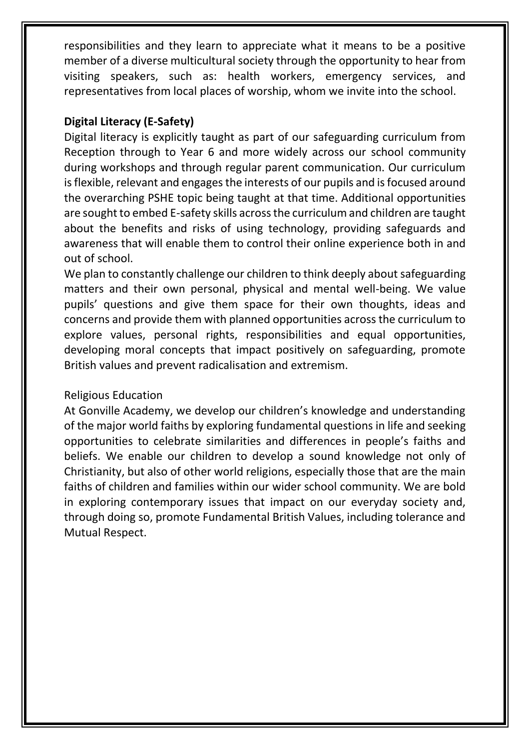responsibilities and they learn to appreciate what it means to be a positive member of a diverse multicultural society through the opportunity to hear from visiting speakers, such as: health workers, emergency services, and representatives from local places of worship, whom we invite into the school.

## **Digital Literacy (E-Safety)**

Digital literacy is explicitly taught as part of our safeguarding curriculum from Reception through to Year 6 and more widely across our school community during workshops and through regular parent communication. Our curriculum is flexible, relevant and engages the interests of our pupils and is focused around the overarching PSHE topic being taught at that time. Additional opportunities are sought to embed E-safety skills across the curriculum and children are taught about the benefits and risks of using technology, providing safeguards and awareness that will enable them to control their online experience both in and out of school.

We plan to constantly challenge our children to think deeply about safeguarding matters and their own personal, physical and mental well-being. We value pupils' questions and give them space for their own thoughts, ideas and concerns and provide them with planned opportunities across the curriculum to explore values, personal rights, responsibilities and equal opportunities, developing moral concepts that impact positively on safeguarding, promote British values and prevent radicalisation and extremism.

#### Religious Education

At Gonville Academy, we develop our children's knowledge and understanding of the major world faiths by exploring fundamental questions in life and seeking opportunities to celebrate similarities and differences in people's faiths and beliefs. We enable our children to develop a sound knowledge not only of Christianity, but also of other world religions, especially those that are the main faiths of children and families within our wider school community. We are bold in exploring contemporary issues that impact on our everyday society and, through doing so, promote Fundamental British Values, including tolerance and Mutual Respect.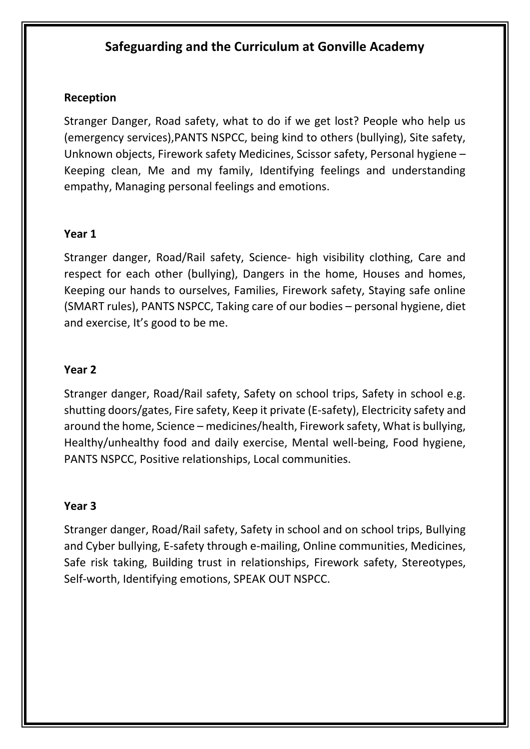# **Safeguarding and the Curriculum at Gonville Academy**

## **Reception**

Stranger Danger, Road safety, what to do if we get lost? People who help us (emergency services),PANTS NSPCC, being kind to others (bullying), Site safety, Unknown objects, Firework safety Medicines, Scissor safety, Personal hygiene – Keeping clean, Me and my family, Identifying feelings and understanding empathy, Managing personal feelings and emotions.

## **Year 1**

Stranger danger, Road/Rail safety, Science- high visibility clothing, Care and respect for each other (bullying), Dangers in the home, Houses and homes, Keeping our hands to ourselves, Families, Firework safety, Staying safe online (SMART rules), PANTS NSPCC, Taking care of our bodies – personal hygiene, diet and exercise, It's good to be me.

## **Year 2**

Stranger danger, Road/Rail safety, Safety on school trips, Safety in school e.g. shutting doors/gates, Fire safety, Keep it private (E-safety), Electricity safety and around the home, Science – medicines/health, Firework safety, What is bullying, Healthy/unhealthy food and daily exercise, Mental well-being, Food hygiene, PANTS NSPCC, Positive relationships, Local communities.

#### **Year 3**

Stranger danger, Road/Rail safety, Safety in school and on school trips, Bullying and Cyber bullying, E-safety through e-mailing, Online communities, Medicines, Safe risk taking, Building trust in relationships, Firework safety, Stereotypes, Self-worth, Identifying emotions, SPEAK OUT NSPCC.